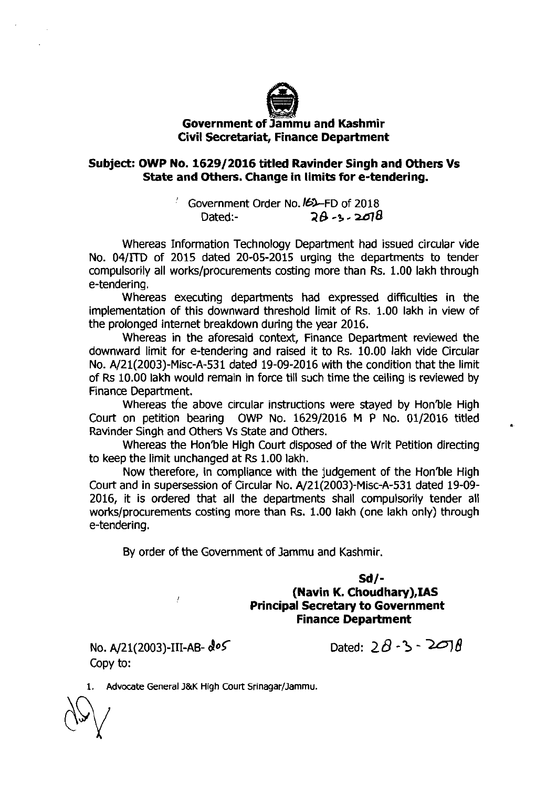

## @ **Government of Jammu and Kashmir Civil Secretariat, Finance Department**

## **Subject: OWP No. 1629/2016 titled Ravinder Singh and Others Vs State and Others. Change in limits for e-tendering.**

Government Order No.  $b$ -FD of 2018 Dated:- **28** -3- **~8** 

Whereas Information Technology Department had issued circular vide No. 04/lTD of 2015 dated 20-05-2015 urging the departments to tender compulsorily all works/procurements costing more than **Rs.** 1.00 lakh through e-tendering.

Whereas executing departments had expressed difficulties in the implementation of this downward threshold limit of Rs. 1.00 lakh in view of the prolonged internet breakdown during the year 2016.

Whereas in the aforesaid context, Finance Department reviewed the downward limit for e-tendering and raised it to Rs. 10.00 lakh vide Circular No. A/21(2003)-Misc-A-531 dated 19-09-2016 with the condition that the limit of Rs 10.00 lakh would remain in force till such time the ceiling is reviewed by Finance Department.

Whereas the above circular instructions were stayed by Hon'ble High Court on petition bearing OW? No. 1629/2016 M P No. 01/2016 titled Ravinder Singh and Others **Vs** State and Others.

Whereas the Hon'ble High Court disposed of the Writ Petition directing to keep the limit unchanged at **Rs** 1.00 lakh.

Now therefore, in compliance with the judgement of the Hon'ble High Court and in supersession of Circular No. A/21(2003)-Misc-A-531 dated 19-09- 2016, it is ordered that all the departments shall compulsorily tender all works/procurements costing more than **Rs.** 1.00 lakh (one lakh only) through e-tendering.

By order of the Government of Jammu and Kashmir.

**Sd/- (Navin K. Choudhary),IAS Principal Secretary to Government** 

**Finance Department** 

No. A/21(2003)-III-AB-  $d \circ 5$  Dated:  $2 \theta \cdot 3 - 2 \sigma 7 \theta$ Copy to:

**1.** Advocate General J&K High Court Srinagar/Jammu.